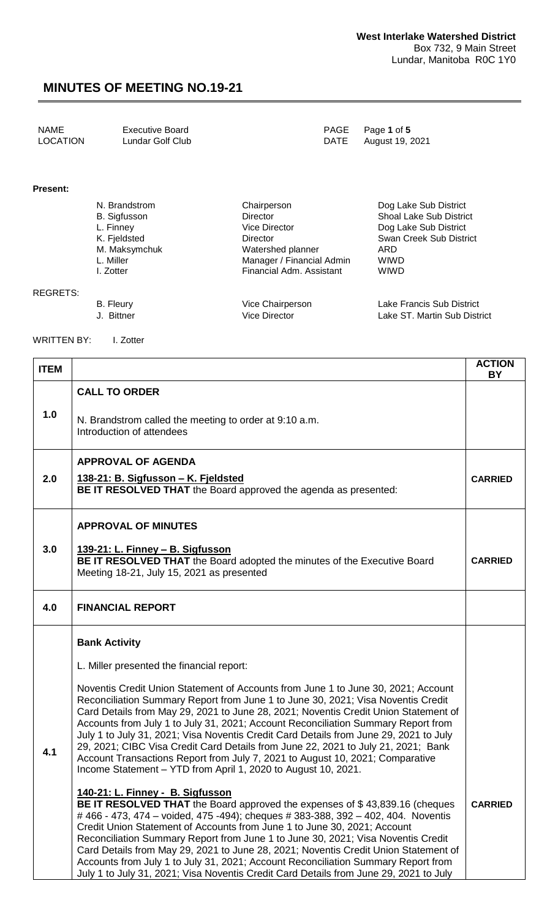| NAME            | Executive Board  | PAGE Page 1 of 5     |
|-----------------|------------------|----------------------|
| <b>LOCATION</b> | Lundar Golf Club | DATE August 19, 2021 |

#### **Present:**

| N. Brandstrom       | Chairperson               | Dog Lake Sub District          |
|---------------------|---------------------------|--------------------------------|
| <b>B.</b> Sigfusson | <b>Director</b>           | <b>Shoal Lake Sub District</b> |
| L. Finney           | <b>Vice Director</b>      | Dog Lake Sub District          |
| K. Fjeldsted        | <b>Director</b>           | Swan Creek Sub District        |
| M. Maksymchuk       | Watershed planner         | ARD                            |
| L. Miller           | Manager / Financial Admin | <b>WIWD</b>                    |
| I. Zotter           | Financial Adm. Assistant  | <b>WIWD</b>                    |
|                     |                           |                                |

#### REGRETS:

B. Fleury Vice Chairperson Lake Francis Sub District J. Bittner Vice Director Lake ST. Martin Sub District

WRITTEN BY: I. Zotter

**ITEM ACTION BY 1.0 CALL TO ORDER** N. Brandstrom called the meeting to order at 9:10 a.m. Introduction of attendees **2.0 APPROVAL OF AGENDA 138-21: B. Sigfusson – K. Fjeldsted BE IT RESOLVED THAT** the Board approved the agenda as presented: **CARRIED 3.0 APPROVAL OF MINUTES 139-21: L. Finney – B. Sigfusson BE IT RESOLVED THAT** the Board adopted the minutes of the Executive Board Meeting 18-21, July 15, 2021 as presented **CARRIED 4.0 FINANCIAL REPORT 4.1 Bank Activity** L. Miller presented the financial report: Noventis Credit Union Statement of Accounts from June 1 to June 30, 2021; Account Reconciliation Summary Report from June 1 to June 30, 2021; Visa Noventis Credit Card Details from May 29, 2021 to June 28, 2021; Noventis Credit Union Statement of Accounts from July 1 to July 31, 2021; Account Reconciliation Summary Report from July 1 to July 31, 2021; Visa Noventis Credit Card Details from June 29, 2021 to July 29, 2021; CIBC Visa Credit Card Details from June 22, 2021 to July 21, 2021; Bank Account Transactions Report from July 7, 2021 to August 10, 2021; Comparative Income Statement – YTD from April 1, 2020 to August 10, 2021. **140-21: L. Finney - B. Sigfusson BE IT RESOLVED THAT** the Board approved the expenses of \$43,839.16 (cheques # 466 - 473, 474 – voided, 475 -494); cheques # 383-388, 392 – 402, 404. Noventis Credit Union Statement of Accounts from June 1 to June 30, 2021; Account Reconciliation Summary Report from June 1 to June 30, 2021; Visa Noventis Credit Card Details from May 29, 2021 to June 28, 2021; Noventis Credit Union Statement of **CARRIED**

Accounts from July 1 to July 31, 2021; Account Reconciliation Summary Report from July 1 to July 31, 2021; Visa Noventis Credit Card Details from June 29, 2021 to July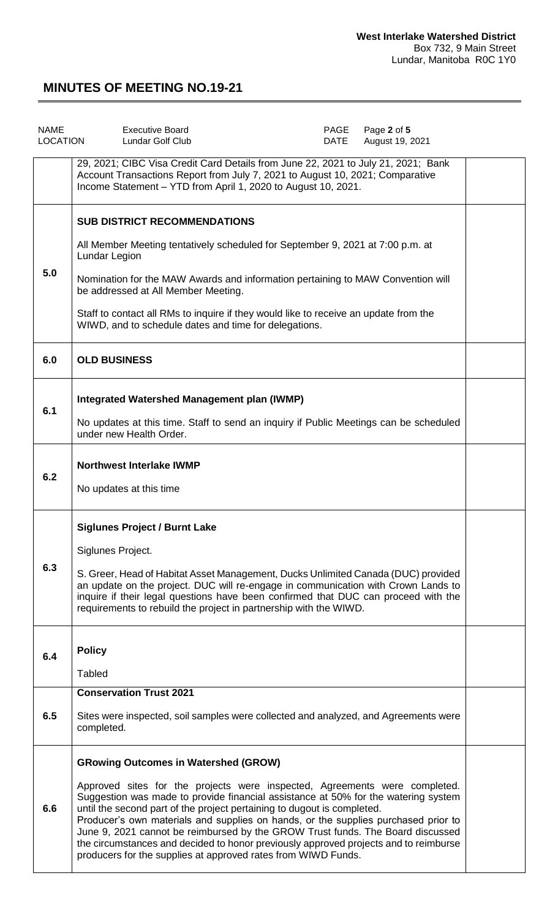| <b>NAME</b><br><b>LOCATION</b> | <b>Executive Board</b><br>Lundar Golf Club                                                                                                                                                                                                                                                                                                                                                                                                                                                                                                                                                                                  | PAGE<br>DATE | Page 2 of 5<br>August 19, 2021 |  |
|--------------------------------|-----------------------------------------------------------------------------------------------------------------------------------------------------------------------------------------------------------------------------------------------------------------------------------------------------------------------------------------------------------------------------------------------------------------------------------------------------------------------------------------------------------------------------------------------------------------------------------------------------------------------------|--------------|--------------------------------|--|
|                                | 29, 2021; CIBC Visa Credit Card Details from June 22, 2021 to July 21, 2021; Bank<br>Account Transactions Report from July 7, 2021 to August 10, 2021; Comparative<br>Income Statement - YTD from April 1, 2020 to August 10, 2021.                                                                                                                                                                                                                                                                                                                                                                                         |              |                                |  |
| 5.0                            | <b>SUB DISTRICT RECOMMENDATIONS</b><br>All Member Meeting tentatively scheduled for September 9, 2021 at 7:00 p.m. at<br><b>Lundar Legion</b><br>Nomination for the MAW Awards and information pertaining to MAW Convention will<br>be addressed at All Member Meeting.<br>Staff to contact all RMs to inquire if they would like to receive an update from the<br>WIWD, and to schedule dates and time for delegations.                                                                                                                                                                                                    |              |                                |  |
| 6.0                            | <b>OLD BUSINESS</b>                                                                                                                                                                                                                                                                                                                                                                                                                                                                                                                                                                                                         |              |                                |  |
| 6.1                            | Integrated Watershed Management plan (IWMP)<br>No updates at this time. Staff to send an inquiry if Public Meetings can be scheduled<br>under new Health Order.                                                                                                                                                                                                                                                                                                                                                                                                                                                             |              |                                |  |
| 6.2                            | <b>Northwest Interlake IWMP</b><br>No updates at this time                                                                                                                                                                                                                                                                                                                                                                                                                                                                                                                                                                  |              |                                |  |
| 6.3                            | <b>Siglunes Project / Burnt Lake</b><br>Siglunes Project.<br>S. Greer, Head of Habitat Asset Management, Ducks Unlimited Canada (DUC) provided<br>an update on the project. DUC will re-engage in communication with Crown Lands to<br>inquire if their legal questions have been confirmed that DUC can proceed with the<br>requirements to rebuild the project in partnership with the WIWD.                                                                                                                                                                                                                              |              |                                |  |
| 6.4                            | <b>Policy</b><br><b>Tabled</b>                                                                                                                                                                                                                                                                                                                                                                                                                                                                                                                                                                                              |              |                                |  |
| 6.5                            | <b>Conservation Trust 2021</b><br>Sites were inspected, soil samples were collected and analyzed, and Agreements were<br>completed.                                                                                                                                                                                                                                                                                                                                                                                                                                                                                         |              |                                |  |
| 6.6                            | <b>GRowing Outcomes in Watershed (GROW)</b><br>Approved sites for the projects were inspected, Agreements were completed.<br>Suggestion was made to provide financial assistance at 50% for the watering system<br>until the second part of the project pertaining to dugout is completed.<br>Producer's own materials and supplies on hands, or the supplies purchased prior to<br>June 9, 2021 cannot be reimbursed by the GROW Trust funds. The Board discussed<br>the circumstances and decided to honor previously approved projects and to reimburse<br>producers for the supplies at approved rates from WIWD Funds. |              |                                |  |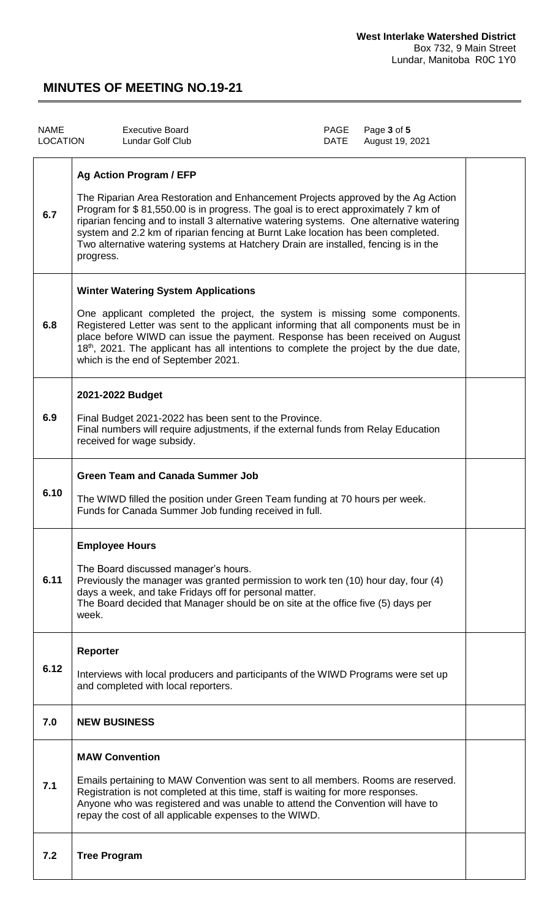| <b>NAME</b><br><b>LOCATION</b> | <b>Executive Board</b><br><b>Lundar Golf Club</b>                                                                                                                                                                                                                                                                                                                                                                                                                                            | PAGE<br>DATE | Page 3 of 5<br>August 19, 2021 |  |
|--------------------------------|----------------------------------------------------------------------------------------------------------------------------------------------------------------------------------------------------------------------------------------------------------------------------------------------------------------------------------------------------------------------------------------------------------------------------------------------------------------------------------------------|--------------|--------------------------------|--|
| 6.7                            | <b>Ag Action Program / EFP</b><br>The Riparian Area Restoration and Enhancement Projects approved by the Ag Action<br>Program for \$81,550.00 is in progress. The goal is to erect approximately 7 km of<br>riparian fencing and to install 3 alternative watering systems. One alternative watering<br>system and 2.2 km of riparian fencing at Burnt Lake location has been completed.<br>Two alternative watering systems at Hatchery Drain are installed, fencing is in the<br>progress. |              |                                |  |
| 6.8                            | <b>Winter Watering System Applications</b><br>One applicant completed the project, the system is missing some components.<br>Registered Letter was sent to the applicant informing that all components must be in<br>place before WIWD can issue the payment. Response has been received on August<br>18 <sup>th</sup> , 2021. The applicant has all intentions to complete the project by the due date,<br>which is the end of September 2021.                                              |              |                                |  |
| 6.9                            | 2021-2022 Budget<br>Final Budget 2021-2022 has been sent to the Province.<br>Final numbers will require adjustments, if the external funds from Relay Education<br>received for wage subsidy.                                                                                                                                                                                                                                                                                                |              |                                |  |
| 6.10                           | <b>Green Team and Canada Summer Job</b><br>The WIWD filled the position under Green Team funding at 70 hours per week.<br>Funds for Canada Summer Job funding received in full.                                                                                                                                                                                                                                                                                                              |              |                                |  |
| 6.11                           | <b>Employee Hours</b><br>The Board discussed manager's hours.<br>Previously the manager was granted permission to work ten (10) hour day, four (4)<br>days a week, and take Fridays off for personal matter.<br>The Board decided that Manager should be on site at the office five (5) days per<br>week.                                                                                                                                                                                    |              |                                |  |
| 6.12                           | Reporter<br>Interviews with local producers and participants of the WIWD Programs were set up<br>and completed with local reporters.                                                                                                                                                                                                                                                                                                                                                         |              |                                |  |
| 7.0                            | <b>NEW BUSINESS</b>                                                                                                                                                                                                                                                                                                                                                                                                                                                                          |              |                                |  |
| 7.1                            | <b>MAW Convention</b><br>Emails pertaining to MAW Convention was sent to all members. Rooms are reserved.<br>Registration is not completed at this time, staff is waiting for more responses.<br>Anyone who was registered and was unable to attend the Convention will have to<br>repay the cost of all applicable expenses to the WIWD.                                                                                                                                                    |              |                                |  |
| 7.2                            | <b>Tree Program</b>                                                                                                                                                                                                                                                                                                                                                                                                                                                                          |              |                                |  |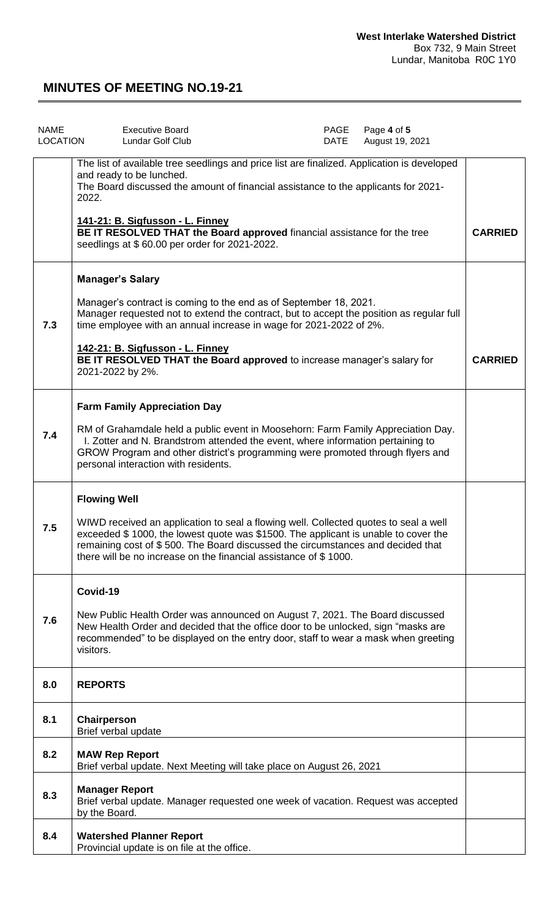| <b>NAME</b><br><b>LOCATION</b> | <b>Executive Board</b><br>Lundar Golf Club                                                                                                                                                                                                                                                                                        | PAGE<br><b>DATE</b> | Page 4 of 5<br>August 19, 2021 |                |
|--------------------------------|-----------------------------------------------------------------------------------------------------------------------------------------------------------------------------------------------------------------------------------------------------------------------------------------------------------------------------------|---------------------|--------------------------------|----------------|
|                                | The list of available tree seedlings and price list are finalized. Application is developed<br>and ready to be lunched.<br>The Board discussed the amount of financial assistance to the applicants for 2021-<br>2022.                                                                                                            |                     |                                |                |
|                                | 141-21: B. Sigfusson - L. Finney<br>BE IT RESOLVED THAT the Board approved financial assistance for the tree<br>seedlings at \$60.00 per order for 2021-2022.                                                                                                                                                                     |                     |                                | <b>CARRIED</b> |
|                                | <b>Manager's Salary</b>                                                                                                                                                                                                                                                                                                           |                     |                                |                |
| 7.3                            | Manager's contract is coming to the end as of September 18, 2021.<br>Manager requested not to extend the contract, but to accept the position as regular full<br>time employee with an annual increase in wage for 2021-2022 of 2%.                                                                                               |                     |                                |                |
|                                | 142-21: B. Sigfusson - L. Finney<br>BE IT RESOLVED THAT the Board approved to increase manager's salary for<br>2021-2022 by 2%.                                                                                                                                                                                                   |                     |                                | <b>CARRIED</b> |
|                                | <b>Farm Family Appreciation Day</b>                                                                                                                                                                                                                                                                                               |                     |                                |                |
| 7.4                            | RM of Grahamdale held a public event in Moosehorn: Farm Family Appreciation Day.<br>I. Zotter and N. Brandstrom attended the event, where information pertaining to<br>GROW Program and other district's programming were promoted through flyers and<br>personal interaction with residents.                                     |                     |                                |                |
|                                | <b>Flowing Well</b>                                                                                                                                                                                                                                                                                                               |                     |                                |                |
| 7.5                            | WIWD received an application to seal a flowing well. Collected quotes to seal a well<br>exceeded \$1000, the lowest quote was \$1500. The applicant is unable to cover the<br>remaining cost of \$500. The Board discussed the circumstances and decided that<br>there will be no increase on the financial assistance of \$1000. |                     |                                |                |
|                                | Covid-19                                                                                                                                                                                                                                                                                                                          |                     |                                |                |
| 7.6                            | New Public Health Order was announced on August 7, 2021. The Board discussed<br>New Health Order and decided that the office door to be unlocked, sign "masks are<br>recommended" to be displayed on the entry door, staff to wear a mask when greeting<br>visitors.                                                              |                     |                                |                |
| 8.0                            | <b>REPORTS</b>                                                                                                                                                                                                                                                                                                                    |                     |                                |                |
| 8.1                            | Chairperson<br>Brief verbal update                                                                                                                                                                                                                                                                                                |                     |                                |                |
| 8.2                            | <b>MAW Rep Report</b><br>Brief verbal update. Next Meeting will take place on August 26, 2021                                                                                                                                                                                                                                     |                     |                                |                |
| 8.3                            | <b>Manager Report</b><br>Brief verbal update. Manager requested one week of vacation. Request was accepted<br>by the Board.                                                                                                                                                                                                       |                     |                                |                |
| 8.4                            | <b>Watershed Planner Report</b><br>Provincial update is on file at the office.                                                                                                                                                                                                                                                    |                     |                                |                |